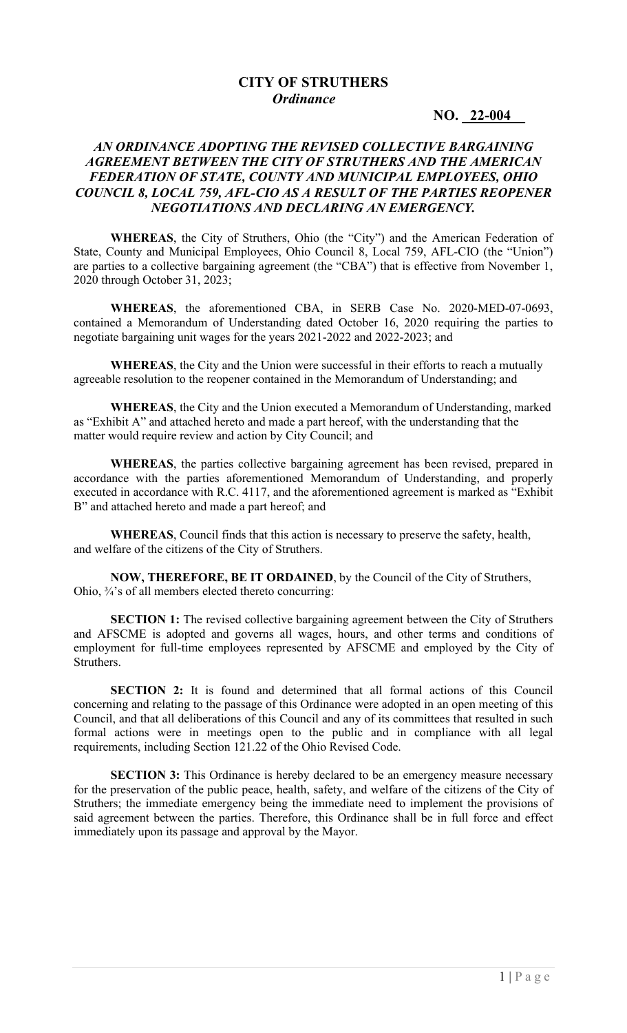## **CITY OF STRUTHERS**  *Ordinance*

**NO. 22-004\_\_**

## *AN ORDINANCE ADOPTING THE REVISED COLLECTIVE BARGAINING AGREEMENT BETWEEN THE CITY OF STRUTHERS AND THE AMERICAN FEDERATION OF STATE, COUNTY AND MUNICIPAL EMPLOYEES, OHIO COUNCIL 8, LOCAL 759, AFL-CIO AS A RESULT OF THE PARTIES REOPENER NEGOTIATIONS AND DECLARING AN EMERGENCY.*

**WHEREAS**, the City of Struthers, Ohio (the "City") and the American Federation of State, County and Municipal Employees, Ohio Council 8, Local 759, AFL-CIO (the "Union") are parties to a collective bargaining agreement (the "CBA") that is effective from November 1, 2020 through October 31, 2023;

**WHEREAS**, the aforementioned CBA, in SERB Case No. 2020-MED-07-0693, contained a Memorandum of Understanding dated October 16, 2020 requiring the parties to negotiate bargaining unit wages for the years 2021-2022 and 2022-2023; and

**WHEREAS**, the City and the Union were successful in their efforts to reach a mutually agreeable resolution to the reopener contained in the Memorandum of Understanding; and

**WHEREAS**, the City and the Union executed a Memorandum of Understanding, marked as "Exhibit A" and attached hereto and made a part hereof, with the understanding that the matter would require review and action by City Council; and

**WHEREAS**, the parties collective bargaining agreement has been revised, prepared in accordance with the parties aforementioned Memorandum of Understanding, and properly executed in accordance with R.C. 4117, and the aforementioned agreement is marked as "Exhibit B" and attached hereto and made a part hereof; and

**WHEREAS**, Council finds that this action is necessary to preserve the safety, health, and welfare of the citizens of the City of Struthers.

**NOW, THEREFORE, BE IT ORDAINED**, by the Council of the City of Struthers, Ohio, ¾'s of all members elected thereto concurring:

**SECTION 1:** The revised collective bargaining agreement between the City of Struthers and AFSCME is adopted and governs all wages, hours, and other terms and conditions of employment for full-time employees represented by AFSCME and employed by the City of Struthers.

**SECTION 2:** It is found and determined that all formal actions of this Council concerning and relating to the passage of this Ordinance were adopted in an open meeting of this Council, and that all deliberations of this Council and any of its committees that resulted in such formal actions were in meetings open to the public and in compliance with all legal requirements, including Section 121.22 of the Ohio Revised Code.

**SECTION 3:** This Ordinance is hereby declared to be an emergency measure necessary for the preservation of the public peace, health, safety, and welfare of the citizens of the City of Struthers; the immediate emergency being the immediate need to implement the provisions of said agreement between the parties. Therefore, this Ordinance shall be in full force and effect immediately upon its passage and approval by the Mayor.